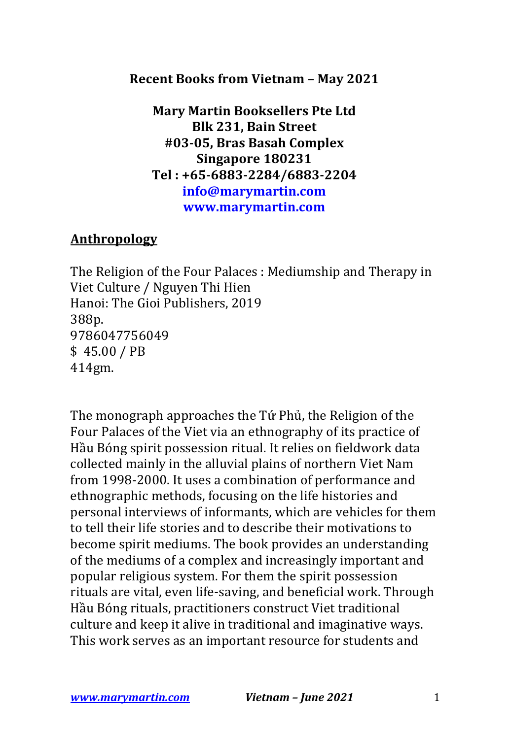## **Recent Books from Vietnam - May 2021**

**Mary Martin Booksellers Pte Ltd Blk 231, Bain Street #03-05, Bras Basah Complex Singapore 180231 Tel : +65-6883-2284/6883-2204 info@marymartin.com www.marymartin.com**

## **Anthropology**

The Religion of the Four Palaces : Mediumship and Therapy in Viet Culture / Nguyen Thi Hien Hanoi: The Gioi Publishers, 2019 388p. 9786047756049  $$45.00 / PB$ 414gm.

The monograph approaches the Tứ Phủ, the Religion of the Four Palaces of the Viet via an ethnography of its practice of Hầu Bóng spirit possession ritual. It relies on fieldwork data collected mainly in the alluvial plains of northern Viet Nam from 1998-2000. It uses a combination of performance and ethnographic methods, focusing on the life histories and personal interviews of informants, which are vehicles for them to tell their life stories and to describe their motivations to become spirit mediums. The book provides an understanding of the mediums of a complex and increasingly important and popular religious system. For them the spirit possession rituals are vital, even life-saving, and beneficial work. Through Hầu Bóng rituals, practitioners construct Viet traditional culture and keep it alive in traditional and imaginative ways. This work serves as an important resource for students and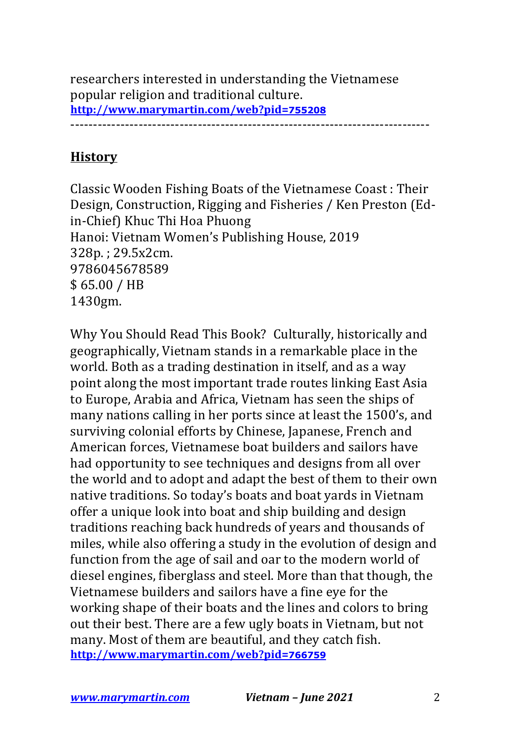researchers interested in understanding the Vietnamese popular religion and traditional culture. **http://www.marymartin.com/web?pid=755208**

-------------------------------------------------------------------------------

## **History**

Classic Wooden Fishing Boats of the Vietnamese Coast: Their Design, Construction, Rigging and Fisheries / Ken Preston (Edin-Chief) Khuc Thi Hoa Phuong Hanoi: Vietnam Women's Publishing House, 2019 328p.; 29.5x2cm. 9786045678589 \$ 65.00 / HB 1430gm.

Why You Should Read This Book? Culturally, historically and geographically, Vietnam stands in a remarkable place in the world. Both as a trading destination in itself, and as a way point along the most important trade routes linking East Asia to Europe, Arabia and Africa, Vietnam has seen the ships of many nations calling in her ports since at least the 1500's, and surviving colonial efforts by Chinese, Japanese, French and American forces, Vietnamese boat builders and sailors have had opportunity to see techniques and designs from all over the world and to adopt and adapt the best of them to their own native traditions. So today's boats and boat yards in Vietnam offer a unique look into boat and ship building and design traditions reaching back hundreds of years and thousands of miles, while also offering a study in the evolution of design and function from the age of sail and oar to the modern world of diesel engines, fiberglass and steel. More than that though, the Vietnamese builders and sailors have a fine eye for the working shape of their boats and the lines and colors to bring out their best. There are a few ugly boats in Vietnam, but not many. Most of them are beautiful, and they catch fish. **http://www.marymartin.com/web?pid=766759**